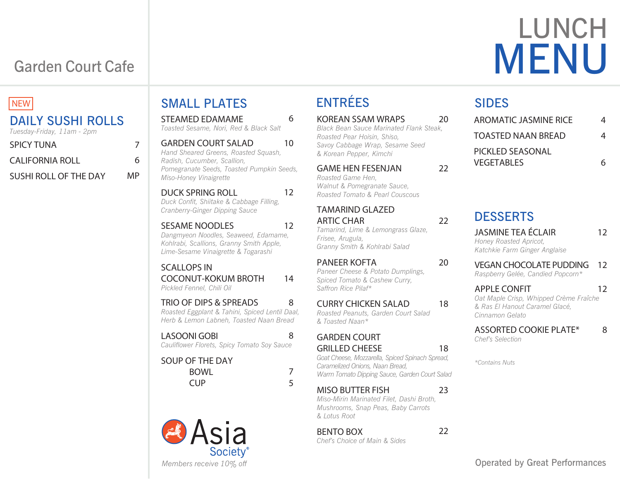# LUNCH MENU

# Garden Court Cafe

## **NEW**

#### DAILY SUSHI ROLLS *Tuesday-Friday, 11am - 2pm* SPICY TUNA CALIFORNIA ROLL SUSHI ROLL OF THE DAY 7 6 MP

| <b>STEAMED EDAMAME</b><br>Toasted Sesame, Nori, Red & Black Salt                                                                                 | 6      | KC<br>Bla                |
|--------------------------------------------------------------------------------------------------------------------------------------------------|--------|--------------------------|
| <b>GARDEN COURT SALAD</b><br>Hand Sheared Greens, Roasted Squash,<br>Radish, Cucumber, Scallion,                                                 | 10     | Ro.<br>Sai<br>$&\wedge$  |
| Pomegranate Seeds, Toasted Pumpkin Seeds,<br>Miso-Honey Vinaigrette                                                                              |        | G/<br>Ro.                |
| <b>DUCK SPRING ROLL</b><br>Duck Confit, Shiitake & Cabbage Filling,<br>Cranberry-Ginger Dipping Sauce                                            | 12     | Wć<br>Ro.<br>TΑ          |
| <b>SESAME NOODLES</b><br>Dangmyeon Noodles, Seaweed, Edamame,<br>Kohlrabi, Scallions, Granny Smith Apple,<br>Lime-Sesame Vinaigrette & Togarashi | 12     | AF<br>Tar<br>Fris<br>Gra |
| <b>SCALLOPS IN</b><br><b>COCONUT-KOKUM BROTH</b><br>Pickled Fennel, Chili Oil                                                                    | 14     | PA<br>Pa<br>Spi<br>Sai   |
| <b>TRIO OF DIPS &amp; SPREADS</b><br>Roasted Eggplant & Tahini, Spiced Lentil Daal,<br>Herb & Lemon Labneh, Toasted Naan Bread                   | 8      | Cl<br>Ro<br>& 7          |
| <b>LASOONI GOBI</b><br>Cauliflower Florets, Spicy Tomato Soy Sauce                                                                               | 8      | G/<br>GF                 |
| <b>SOUP OF THE DAY</b><br><b>BOWL</b><br><b>CUP</b>                                                                                              | 7<br>5 | Goa<br>Car<br>Wć         |
|                                                                                                                                                  |        | <b>A</b> 41              |

## **Asia Societv**<sup>®</sup> *Members receive 10% off*

SMALL PLATES

# ENTRÉES

| <b>KOREAN SSAM WRAPS</b>                       | 20 |
|------------------------------------------------|----|
| <b>Black Bean Sauce Marinated Flank Steak,</b> |    |
| Roasted Pear Hoisin, Shiso,                    |    |
| Savoy Cabbage Wrap, Sesame Seed                |    |
| & Korean Pepper, Kimchi                        |    |
|                                                |    |

AME HEN FESENJAN *Roasted Game Hen, Walnut & Pomegranate Sauce, Roasted Tomato & Pearl Couscous*

**AMARIND GLAZED** RTIC CHAR *Tamarind, Lime & Lemongrass Glaze, Frisee, Arugula, Granny Smith & Kohlrabi Salad*

#### PANEER KOFTA *Paneer Cheese & Potato Dumplings, Spiced Tomato & Cashew Curry,*  ffron Rice Pilaf\*

CURRY CHICKEN SALAD *Roasted Peanuts, Garden Court Salad & Toasted Naan\**

#### **ARDEN COURT** RILLED CHEESE

*Goat Cheese, Mozzarella, Spiced Spinach Spread, Caramelized Onions, Naan Bread, Warm Tomato Dipping Sauce, Garden Court Salad*

### MISO BUTTER FISH

*Miso-Mirin Marinated Filet, Dashi Broth, Mushrooms, Snap Peas, Baby Carrots & Lotus Root*

## BENTO BOX

*Chef's Choice of Main & Sides* 

## SIDES

22

22

20

18

18

23

22

| <b>AROMATIC JASMINE RICE</b> | 4 |
|------------------------------|---|
| <b>TOASTED NAAN BREAD</b>    | 4 |
| PICKLED SEASONAL             |   |
| VEGETABI ES                  |   |

## **DESSERTS**

#### JASMINE TEA ECLAIR *Honey Roasted Apricot, Katchkie Farm Ginger Anglaise* VEGAN CHOCOLATE PUDDING *Raspberry Gelée, Candied Popcorn\** APPLE CONFIT *Oat Maple Crisp, Whipped Crème Fraîche & Ras El Hanout Caramel Glacé, Cinnamon Gelato* 12 12 12

ASSORTED COOKIE PLATE\* *Chef's Selection* 8

*\*Contains Nuts*